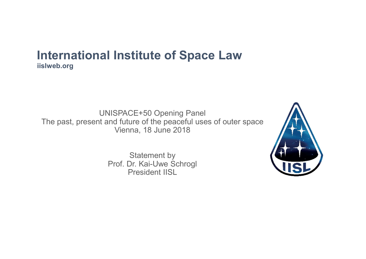UNISPACE+50 Opening Panel The past, present and future of the peaceful uses of outer space Vienna, 18 June 2018 I Institute of Space Law<br>
IISPACE+50 Opening Panel<br>
Ind future of the peaceful uses of outer space<br>
Vienna, 18 June 2018<br>
Statement by<br>
Prof. Dr. Kai-Uwe Schrogl<br>
President IISL

Statement by President IISL

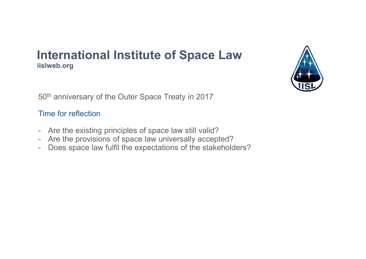# International Institute of Space Law<br>
islweb.org<br>
50<sup>th</sup> anniversary of the Outer Space Treaty in 2017<br>
Time for reflection<br>
- Are the existing principles of space law still valid?<br>
- Are the provisions of space law univer International Institute of Space Law<br>
islweb.org<br>
50<sup>th</sup> anniversary of the Outer Space Treaty in 2017<br>
Time for reflection<br>
- Are the existing principles of space law still valid?<br>
- Are the provisions of space law univer International Institute of Space Law<br>
Fo<sup>th</sup> anniversary of the Outer Space Treaty in 2017<br>
Time for reflection<br>
- Are the existing principles of space law still valid?<br>
- Are the provisions of space law universally accept International Institute of Space Law iislweb.org



50<sup>th</sup> anniversary of the Outer Space Treaty in 2017

#### Time for reflection

- 
- 
-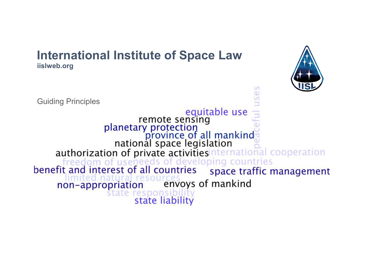



Un.  $\sigma$ Ü.

equitable use remote sensing<br>planetary protection<br>province of all mankind<br>national space legislation authorization of private activities nternational cooperation freedom of useneeds of developing countries<br>benefit and interest of all countries space traffic r space traffic management envoys of mankind non-appropriation espons state liability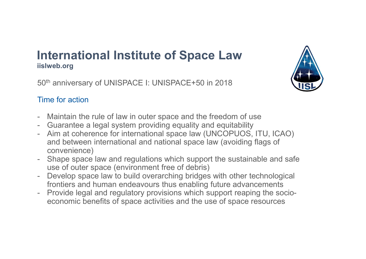# **International Institute of Space Law**<br>
islweb.org<br>
50<sup>th</sup> anniversary of UNISPACE I: UNISPACE+50 in 2018<br>
Time for action<br>
- Maintain the rule of law in outer space and the freedom of use<br>
- Aim at coherence for internati International Institute of Space Law iislweb.org

50<sup>th</sup> anniversary of UNISPACE I: UNISPACE+50 in 2018



### Time for action

- 
- 
- **International Institute of Space Law**<br>
Islweb.org<br>
50<sup>th</sup> anniversary of UNISPACE I: UNISPACE+50 in 2018<br>
Time for action<br>
 Maintain the rule of law in outer space and the freedom of use<br>
 Guarantee a legal system provi **International Institute of Space Law (ISPN)**<br>
Fo<sup>th</sup> anniversary of UNISPACE I: UNISPACE+50 in 2018<br>
Time for action<br>
- Maintain the rule of law in outer space and the freedom of use<br>
- Guarantee a legal system providing and between international and national space law (avoiding flags of convenience) International Institute of Space Law<br>
50<sup>th</sup> anniversary of UNISPACE I: UNISPACE+50 in 2018<br>
Time for action<br>
- Maintain the rule of law in outer space and the freedom of use<br>
- Guarantee a legal system providing equality dislweb.org<br>
50<sup>th</sup> anniversary of UNISPACE I: UNISPACE+50 in 2018<br>
Time for action<br>
- Maintain the rule of law in outer space and the freedom of use<br>
- Guarantee a legal system providing equality and equitability<br>
- Aim 50<sup>m</sup> anniversary of UNISPACE I: UNISPACE+50 in 2018<br>
Time for action<br>
- Maintain the rule of law in outer space and the freedom of use<br>
- Guarantee a legal system providing equality and equitability<br>
- Aim at coherence fo
- use of outer space (environment free of debris)
- frontiers and human endeavours thus enabling future advancements
- economic benefits of space activities and the use of space resources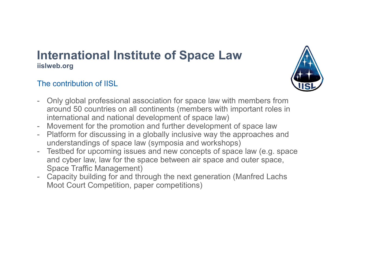### The contribution of IISL



- International Institute of Space Law<br>
Inslweb.org<br>
The contribution of IISL<br>
 Only global professional association for space law with members from<br>
around 50 countries on all continents (members with important roles in<br>
i around 50 countries on all continents (members with important roles in international and national development of space law) International Institute of Space Law<br>
islweb.org<br>
The contribution of IISL<br>
- Only global professional association for space law with members from<br>
around 50 countries on all continents (members with important roles in<br>
in **International Institute of Space Law<br>
Filter contribution of IISL**<br>
- Only global professional association for space law with members from<br>
around 50 countries on all continents (members with important roles in<br>
internati
- 
- 
- understandings of space law (symposia and workshops)<br>Testbed for upcoming issues and new concepts of space law (e.g. space **International Institute of Space Law**<br> **Instruction** of IISL<br>
The contribution of IISL<br>
- Only global professional association for space law with members from<br>
around 50 countries on all continents (members with important and cyber law, law for the space between air space and outer space, Islive b.org<br>
The contribution of IISL<br>
- Only global professional association for space law with members from<br>
around 50 countries on all continents (members with important roles in<br>
international and national development
- Space Traffic Management)<br>Capacity building for and through the next generation (Manfred Lachs Moot Court Competition, paper competitions)